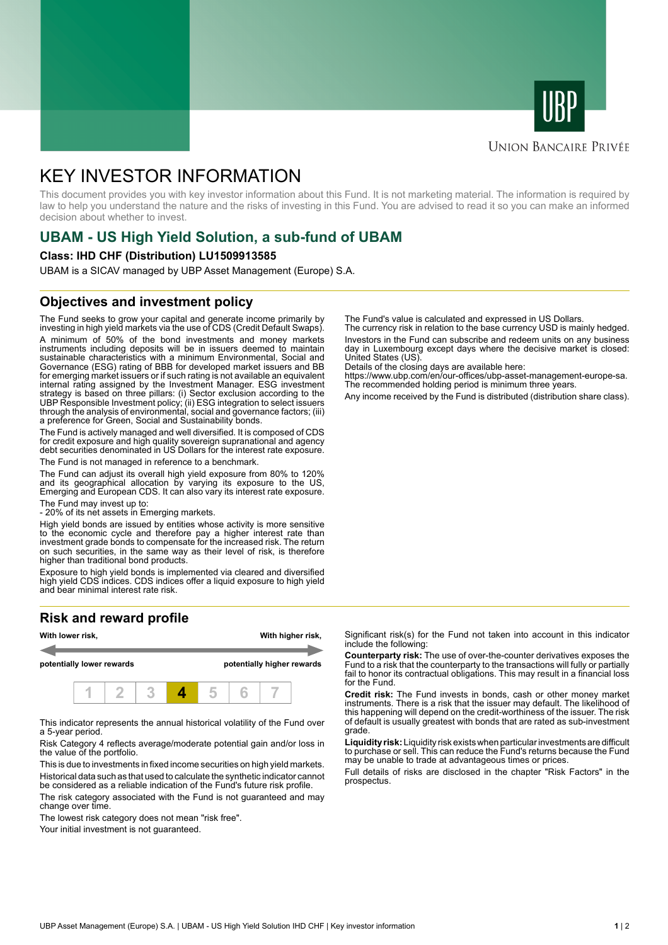



## **UNION BANCAIRE PRIVÉE**

# KEY INVESTOR INFORMATION

This document provides you with key investor information about this Fund. It is not marketing material. The information is required by law to help you understand the nature and the risks of investing in this Fund. You are advised to read it so you can make an informed decision about whether to invest.

# **UBAM - US High Yield Solution, a sub-fund of UBAM**

#### **Class: IHD CHF (Distribution) LU1509913585**

UBAM is a SICAV managed by UBP Asset Management (Europe) S.A.

## **Objectives and investment policy**

The Fund seeks to grow your capital and generate income primarily by investing in high yield markets via the use of CDS (Credit Default Swaps). A minimum of 50% of the bond investments and money markets instruments including deposits will be in issuers deemed to maintain sustainable characteristics with a minimum Environmental, Social and Governance (ESG) rating of BBB for developed market issuers and BB for emerging market issuers or if such rating is not available an equivalent internal rating assigned by the Investment Manager. ESG investment strategy is based on three pillars: (i) Sector exclusion according to the UBP Responsible Investment policy; (ii) ESG integration to select issuers through the analysis of environmental, social and governance factors; (iii) a preference for Green, Social and Sustainability bonds.

The Fund is actively managed and well diversified. It is composed of CDS for credit exposure and high quality sovereign supranational and agency debt securities denominated in US Dollars for the interest rate exposure. The Fund is not managed in reference to a benchmark.

The Fund can adjust its overall high yield exposure from 80% to 120% and its geographical allocation by varying its exposure to the US, Emerging and European CDS. It can also vary its interest rate exposure.

The Fund may invest up to:

- 20% of its net assets in Emerging markets.

High yield bonds are issued by entities whose activity is more sensitive to the economic cycle and therefore pay a higher interest rate than investment grade bonds to compensate for the increased risk. The return on such securities, in the same way as their level of risk, is therefore higher than traditional bond products.

Exposure to high yield bonds is implemented via cleared and diversified high yield CDS indices. CDS indices offer a liquid exposure to high yield and bear minimal interest rate risk.

# **Risk and reward profile**



This indicator represents the annual historical volatility of the Fund over a 5-year period.

Risk Category 4 reflects average/moderate potential gain and/or loss in the value of the portfolio.

This is due to investments in fixed income securities on high yield markets. Historical data such as that used to calculate the synthetic indicator cannot be considered as a reliable indication of the Fund's future risk profile. The risk category associated with the Fund is not guaranteed and may

change over time. The lowest risk category does not mean "risk free".

Your initial investment is not guaranteed.

The Fund's value is calculated and expressed in US Dollars.

The currency risk in relation to the base currency USD is mainly hedged. Investors in the Fund can subscribe and redeem units on any business day in Luxembourg except days where the decisive market is closed: United States (US).

Details of the closing days are available here:

https://www.ubp.com/en/our-offices/ubp-asset-management-europe-sa. The recommended holding period is minimum three years.

Any income received by the Fund is distributed (distribution share class).

Significant risk(s) for the Fund not taken into account in this indicator include the following:

**Counterparty risk:** The use of over-the-counter derivatives exposes the Fund to a risk that the counterparty to the transactions will fully or partially fail to honor its contractual obligations. This may result in a financial loss for the Fund.

**Credit risk:** The Fund invests in bonds, cash or other money market instruments. There is a risk that the issuer may default. The likelihood of this happening will depend on the credit-worthiness of the issuer. The risk of default is usually greatest with bonds that are rated as sub-investment grade.

**Liquidity risk:** Liquidity risk exists when particular investments are difficult to purchase or sell. This can reduce the Fund's returns because the Fund may be unable to trade at advantageous times or prices.

Full details of risks are disclosed in the chapter "Risk Factors" in the prospectus.